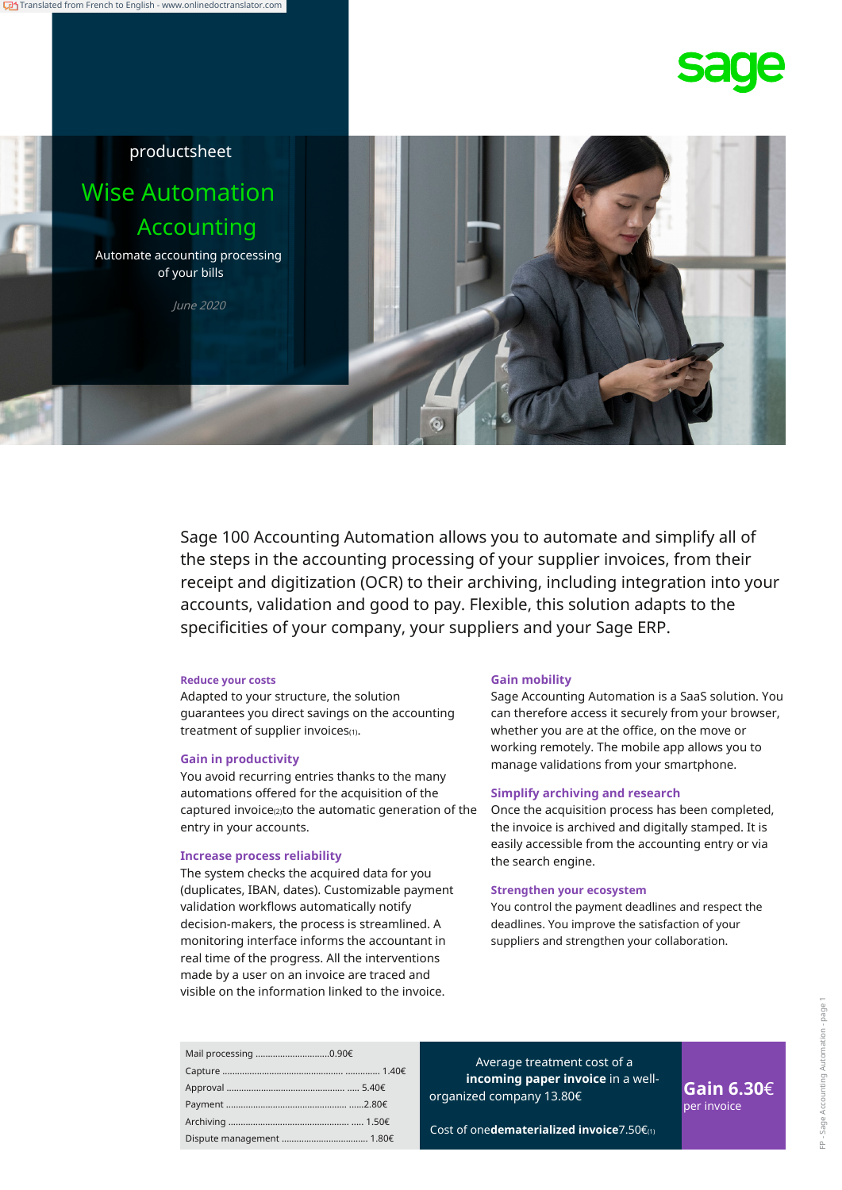



Sage 100 Accounting Automation allows you to automate and simplify all of the steps in the accounting processing of your supplier invoices, from their receipt and digitization (OCR) to their archiving, including integration into your accounts, validation and good to pay. Flexible, this solution adapts to the specificities of your company, your suppliers and your Sage ERP.

#### **Reduce your costs**

Adapted to your structure, the solution guarantees you direct savings on the accounting treatment of supplier invoices(1).

You avoid recurring entries thanks to the many automations offered for the acquisition of the captured invoice(2) to the automatic generation of the entry in your accounts.

# the search engine. **Increase process reliability**

The system checks the acquired data for you (duplicates, IBAN, dates). Customizable payment validation workflows automatically notify decision-makers, the process is streamlined. A monitoring interface informs the accountant in real time of the progress. All the interventions made by a user on an invoice are traced and visible on the information linked to the invoice.

#### **Gain mobility**

Sage Accounting Automation is a SaaS solution. You can therefore access it securely from your browser, whether you are at the office, on the move or working remotely. The mobile app allows you to manage validations from your smartphone. **Gain in productivity**

#### **Simplify archiving and research**

Once the acquisition process has been completed, the invoice is archived and digitally stamped. It is easily accessible from the accounting entry or via

#### **Strengthen your ecosystem**

You control the payment deadlines and respect the deadlines. You improve the satisfaction of your suppliers and strengthen your collaboration.

| Mail processing 0.90€ |  |
|-----------------------|--|
|                       |  |
|                       |  |
|                       |  |
|                       |  |
|                       |  |

Average treatment cost of a **incoming paper invoice** in a well-**Gain 6.30€ Gain 6.30**€ **Gain 6.30**€

Cost of one**dematerialized invoice**7.50€(1)

per invoice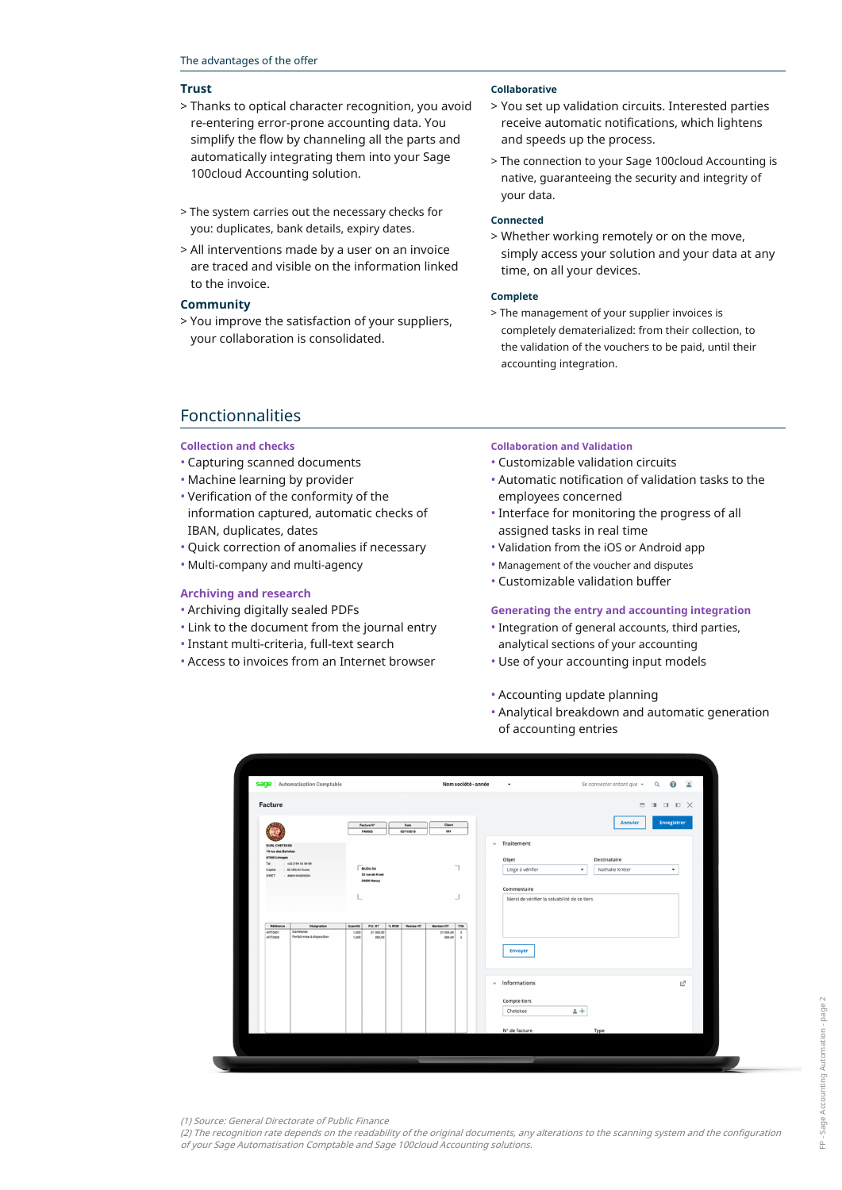#### **Trust**

- > Thanks to optical character recognition, you avoid re-entering error-prone accounting data. You simplify the flow by channeling all the parts and automatically integrating them into your Sage 100cloud Accounting solution.
- > The system carries out the necessary checks for you: duplicates, bank details, expiry dates.
- > All interventions made by a user on an invoice are traced and visible on the information linked to the invoice.

### **Community**

> You improve the satisfaction of your suppliers, your collaboration is consolidated.

#### **Collaborative**

- > You set up validation circuits. Interested parties receive automatic notifications, which lightens and speeds up the process.
- > The connection to your Sage 100cloud Accounting is native, guaranteeing the security and integrity of your data.

#### **Connected**

> Whether working remotely or on the move, simply access your solution and your data at any time, on all your devices.

#### **Complete**

> The management of your supplier invoices is completely dematerialized: from their collection, to the validation of the vouchers to be paid, until their accounting integration.

## Fonctionnalities

#### **Collection and checks**

- Capturing scanned documents
- Machine learning by provider
- Verification of the conformity of the information captured, automatic checks of IBAN, duplicates, dates
- Quick correction of anomalies if necessary
- Multi-company and multi-agency

#### **Archiving and research**

- Archiving digitally sealed PDFs
- Link to the document from the journal entry
- Instant multi-criteria, full-text search
- Access to invoices from an Internet browser

#### **Collaboration and Validation**

- Customizable validation circuits
- Automatic notification of validation tasks to the employees concerned
- Interface for monitoring the progress of all assigned tasks in real time
- Validation from the iOS or Android app
- Management of the voucher and disputes
- Customizable validation buffer

#### **Generating the entry and accounting integration**

- Integration of general accounts, third parties, analytical sections of your accounting
- Use of your accounting input models
- Accounting update planning
- Analytical breakdown and automatic generation of accounting entries

|                                             |                                         |                |                                    |       |                    |                     |                  | Se connecter entant que $\sim$ Q $\bigcirc$ $\frac{1}{2}$ |                |
|---------------------------------------------|-----------------------------------------|----------------|------------------------------------|-------|--------------------|---------------------|------------------|-----------------------------------------------------------|----------------|
| Facture                                     |                                         |                |                                    |       |                    |                     |                  | $\blacksquare$                                            | <b>III</b> D X |
|                                             |                                         |                | Facture N°<br>FA0003               |       | Date<br>02/11/2018 | Client<br>001       |                  | Annuler                                                   | Enregistrer    |
| <b>EURL CHETEKEE</b><br>14 rue des Bariokas |                                         |                |                                    |       |                    |                     |                  | $~\vee~$ Traitement                                       |                |
| 87000 Limoges<br>Tél                        | +33 2 99 54 09 99                       |                |                                    |       |                    |                     |                  | Objet<br>Destinataire                                     |                |
| Capital<br>SIRET                            | : 60 000.00 Euros<br>: 40001494200024   |                | <b>BIJOU SA</b><br>22 rue de Kroet |       |                    |                     |                  | Litige à vérifier<br>Nathalie Kritter<br>$\check{}$       | $\check{}$     |
|                                             |                                         |                | 54000 Nancy                        |       |                    |                     |                  | Commentaire                                               |                |
|                                             |                                         |                |                                    |       |                    |                     | ┙                | Merci de vérifier la solvabilité de ce tiers.             |                |
|                                             |                                         |                |                                    |       |                    |                     |                  |                                                           |                |
| Référence                                   | Désignation                             | Quantité       | P.U. HT                            | % REM | <b>Remise HT</b>   | <b>Montant HT</b>   | TVA              |                                                           |                |
| <b>ART0001</b><br>ART0003                   | Darkhorse<br>Forfalt mise à disposition | 1,000<br>1,000 | 21 000,00<br>280,00                |       |                    | 21 000.00<br>280.00 | $\sim$<br>$\sim$ |                                                           |                |
|                                             |                                         |                |                                    |       |                    |                     |                  | <b>Envoyer</b>                                            |                |
|                                             |                                         |                |                                    |       |                    |                     |                  |                                                           |                |
|                                             |                                         |                |                                    |       |                    |                     |                  | $~\vee~$ Informations                                     | Ľ              |
|                                             |                                         |                |                                    |       |                    |                     |                  |                                                           |                |
|                                             |                                         |                |                                    |       |                    |                     |                  | Compte tiers<br>$+1$<br>Chetekee                          |                |
|                                             |                                         |                |                                    |       |                    |                     |                  |                                                           |                |
|                                             |                                         |                |                                    |       |                    |                     |                  | N° de facture<br>Type                                     |                |
|                                             |                                         |                |                                    |       |                    |                     |                  |                                                           |                |

FP - Sage Accounting Automation - page 2FP - Sage Accounting Automation - page

(1) Source: General Directorate of Public Finance

t

(2) The recognition rate depends on the readability of the original documents, any alterations to the scanning system and the configuration of your Sage Automatisation Comptable and Sage 100cloud Accounting solutions.